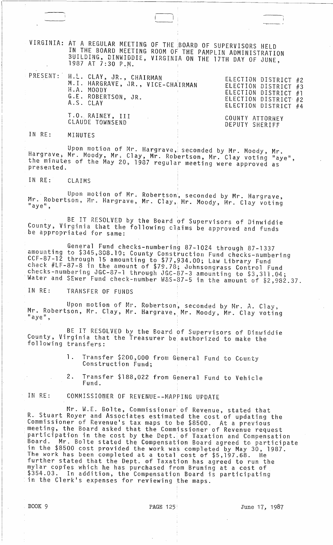VIRGINIA: AT A REGULAR MEETING OF THE ,BOARD OF SUPERVISORS HELD IN THE BOARD MEETING ROOM OF THE PAMPLIN ADMINISTRATION 3UILDING, BINWIDDIE, VIRGINIA ON THE 17TH DAY OF JUNE,<br>1987 AT 7:30 P.M.

PRESENT:

| H.L. CLAY, JR., CHAIRMAN          | ELECTION DISTRICT #2 |
|-----------------------------------|----------------------|
| M.I. HARGRAVE, JR., VICE-CHAIRMAN | ELECTION DISTRICT #3 |
| H.A. MOODY                        | ELECTION DISTRICT #1 |
| G.E. ROBERTSON, JR.               | ELECTION DISTRICT #2 |
| A.S. CLAY                         | ELECTION DISTRICT #4 |
| T.O. RAINEY, III                  | COUNTY ATTORNEY      |
| CLAUDE TOWNSEND                   | DEPUTY SHERIFF       |

IN RE: MINUTES

Upon motion of Mr. Hargrave, seconded by Mr. Moody, Mr. Hargrave; Mr. Moody, Mr~ Clay, Mr. Robertson, Mr. Clay voting "aye", the minutes of the May 20, 1987 regular meeting were approved as presented.

IN RE: CLAIMS

Upon motion of Mr. Robertson, seconded by Mr. Hargrave, Mr. Robertson, Mr. Hargrave, Mr. Clay, Mr. Moody, Mr. Clay voting<br>"aye",

BE IT RESOLVED by the Board of Supervisors of Dinwiddie County, Virginia that the following claims be approved and funds be appropriated for same:

General Fund checks-numbering 87-1024 through 87-1337 amounting to \$345,308.10; County Construction Fund checks-numbering CCF-87-12 through 15 amounting to \$77,934.00; Law Library Fund check #LF-87-8 in the amount of \$79.78; Johnsongrass Control Fund checks-numbering JGC-87··1 through aGC-G7-3 amounting to \$3,311.04,; Water and SEWer Fund check-number W&S-87-5 in the amount of \$2,982.37.

IN RE: TRANSFER OF FUNDS

Upon motion of Mr. Robertson, seconded by Mr. A. Clay, Mr. Robertson, Mr. Clay, Mr. Hargrave, Mr. Moody, Mr. Clay voting  $\blacksquare$ aye $\blacksquare$ ,

BE IT RESOLVED by the Board of Supervisors of Dinwiddie County, Virginia that the Treasurer be authorized to make the following transfers:

1. Transfer \$200,000 from General Fund to County Construction Fund;

2. Transfer \$188,022 from General Fund to Vehicle Fund.

IN RE: COMMISSIONER OF REVENUE--MAPPING UPDATE

Mr. W.E. Bolte, Commissioner of Revenue, stated that R. Stuart Royer and Associates estimated the cost of updating the Commissioner of Revenue's tax maps to be \$8500. At a previous meeting, the Board asked that the Commissioner of Revenue request participation in the cost by the Dept.' of Taxation and Compensation Board. Mr. Bolte stated the Compensation Board agreed to participate in the \$8500 cost provided the work was completed by May 30, 1987. The work has been completed at a total cost of \$5,197.68. He further stated that the Dept. of Taxation has agreed to run the mylar copies which he has purchased from Bruning at a cost of \$354.03. In addition, the Compensation Board is participating<br>in the Clerk's expenses for reviewing the maps.

BOOK 9 **PAGE 125** PAGE 125 June 17, 1987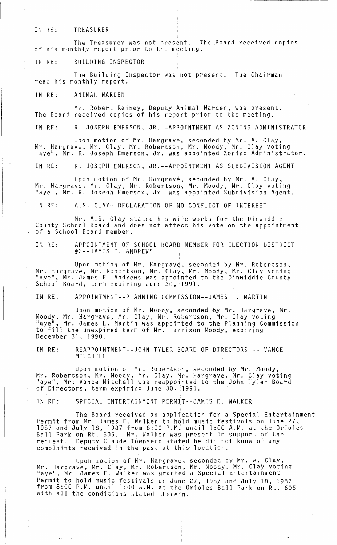### IN RE: TREASURER

The Treasurer was not present. The Board received copies<br>of his monthly report prior to the meeting.

IN RE: BUILDING INSPECTOR

The Building Inspector was not present. The Chairman read his monthly report.

IN RE: ANIMAL WARDEN

Mr. Robert Rainey, Deputy Animal Warden, was present. The Board received copies of his report prior to the meeting.

IN RE: R. JOSEPH EMERSON, JR. -- APPOINTMENT AS ZONING ADMINISTRATOR

Upon motion of Mr. Hargrave, seconded by Mr. A. Clay, Mr. Hargrave, Mr. Clay, Mr. Robertson, Mr. Moody, Mr. Clay voting<br>"aye", Mr. R. Joseph Emerson, Jr. was appointed Zoning Administrator.

IN RE: R. JOSEPH EMERSON, JR.--APPOINTMENT AS SUBDIVISION AGENT

Upon motion of Mr. Hargrave, seconded by Mr. A. Clay, Mr. Hargrave, Mr. Clay, Mr. Robertson, Mr. Moody, Mr. Clay voting "aye", Mr. R. Joseph Emerson, Jr. was appointed SubdiVision Agent.

IN RE: A.S. CLAY--DECLARATION OF NO CONFLICT OF INTEREST

Mr. A.S. Clay stated his wife works for the Dinwiddie County School Board and does not affect his vote on the appointment<br>of a School Board member.

IN RE: APPOINTMENT OF SCHOOL BOARD MEMBER FOR ELECTION DISTRICT #2-~JAMES F. ANDREWS

Upon motion of Mr. Hargrave, seconded by Mr. Robertson, Mr. Hargrave, Mr. Robertson, Mr. Clay, Mr. Moody, Mr. Clay voting<br>"aye", Mr. James F. Andrews was appointed to the Dinwiddie County School Board, term expiring June 30, 1991.

IN RE: APPOINTMENT--PLANNING COMMISSION--JAMES L. MARTIN

Upon motion of Mr. Moody, seconded by Mr. Hargrave, Mr. Moody, Mr. Hargrave, Mr. Clay, Mr. Robertson, Mr. Clay voting "aye", Mr. James L. Martin was appointed to the Planning Commission to fill the unexpired term of Mr. Harrison Moody, expiring December 31, 1990.

IN RE: REAPPOINTMENT--JOHN TYLER BOARD OF DIRECTORS -- VANCE MITCHELL

Upon motion of Mr. Robertson, seconded by Mr. Moody, Mr. Robertson, Mr. Moody, Mr. Clay, Mr. Hargrave, Mr. Clay voting "aye", Mr. Vance Mitchell was reappointed to the John Tyler Board of Directors, term expiring June 30, 1991.

IN RE: SPECIAL ENTERTAINMENT PERMIT--JAMES E. WALKER

The Board received an application for a Special Entertainment Permit from Mr. James E. Walker to hold music festivals on June 27, 1987 and July 18, 1987 from 8:00 P.M. until 1 :00 A.M. at the Orioles Ball Park on Rt. 605. Mr. Walker was present in support of the request. Deputy Claude Townsend stated he did not know of any complaints received in the past at this' location.

Upon motion of Mr. Hargrave, seconded by Mr. A. Clay, Mr. Hargrave, Mr. Clay, Mr. Robertson, Mr. Moody, Mr. Clay voting<br>"aye", Mr. James E. Walker was granted a Special Entertainment Permit to hold music festivals on June 27, 1987 and July 18, 1987 from 8:00 P.M. until 1 :00 A.M. at the Orioles Ball Park on Rt. 605 with all the conditions stated therein. .

لواري المو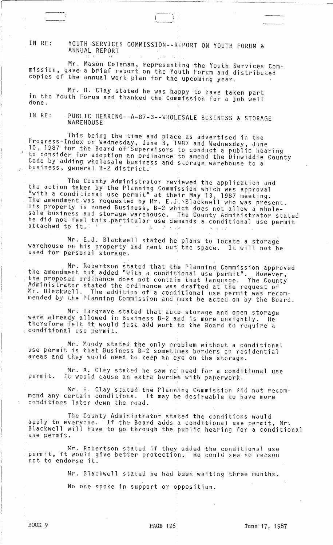IN RE: YOUTH SERVICES COMMISSION--REPORT ON YOUTH FORUM & ANNUAL REPORT

Mr. Mason Coleman, representing the Youth,Services Commission, gave a brief report on the Youth Forum and distributed copies of the annual work plan for the upcoming year.

Mr. H. Clay stated he was happy to have taken part in the Youth Forum and thanked the Commission for a job well<br>done.

IN RE: PUBLIC HEARING--A-87-3--WHOLESALE BUSINESS & STORAGE WAREHOUSE

This being the time and place as advertised in the Progress-Index on Wednesday, June 3, 1987 and Wednesday, June 10, 1987 for the Board of-Supervisors to conduct a public hearing *<sup>R</sup>*to consider for adoption an ordinance to amend the Dinwiddie County Code by adding wholesale business and storage warehouse to a business, general B-2 district.

The County Administrator reviewed the application and the action taken by the Planning Commission which was approval "with a conditional use permit" at their May 13, 1987 meeting. The amendment was requested by Mr. E.J. Blackwell who was present. His property is zoned Business, B-2 which does not allow a wholesale business and storage warehouse. The County Administrator stated<br>he did not feel this particular use demands a conditional use permit<br>attached to it.

Mr. E.J. Blackwell stated he plans to locate a storage warehouse on his property and rent out the space. It will not be used for personal storage. .

Mr. Robertson stated that the Planning Commission approved<br>the amendment but added "with a conditional use permit". However, the proposed ordinance does not contain that language. The County Administrator stated the ordinance was drafted at the request of Mr. Blackwell. The addition of a conditional use permit was recommended by the Planning Commission and must be acted on by the Board.

Mr: Hargrave stated that auto storage and open storage were already allowed in Business B-2 and is more unsightly. He therefore felt it would just add work to the Board to require a conditional use permit.

Mr. Moody stated the only problem without a conditional use permit is that Business B-2 sometimes borders on residential areas and they wuuld need to. keep an eye on the storage.

Mr. A. Clay stated he saw no need for a conditional use permit. It would cause an extra burden with paperwork.

Mr. H. Clay stated the Planning Commission did not recommend any certain conditions. It may be desireable to have more conditions later down the road.

The County Administrator stated the conditions would apply to everyone. If the Board adds a conditional use permit, Mr. Blackwell will have to go through the public hearing for a conditional use permit.

Mr. Robertson stated if they added the conditional use permit, it would give better protection. He could see no reason permic, ic would g<br>not to endorse i<mark>t.</mark>

Mr. Blackwell stated he had been waiting three months.

No one spoke in support or opposition.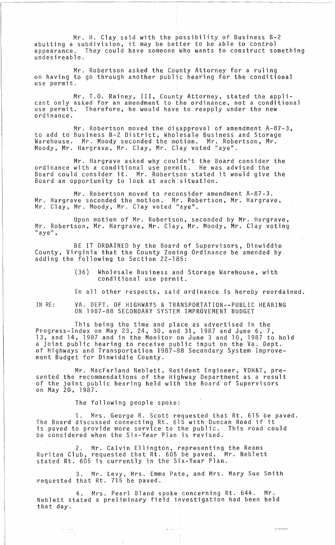Mr. H. Clay said with the possibility of Business B-2 abutting a subdivision, it may be better to be able to control appearance. They could have someone who wants to construct something undesireable.

Mr. Robertson asked the County Attorney for a ruling on having to go through another public hearing for the conditional use permit.

Mr. T.O. Rainey, III, County Attorney, stated the applicant only asked for an amendment to the ordinance, not a conditional use permit. Therefore, he would have to reapply under the new ordinance.

Mr. Robertson moved the disapproval of amendment A-87-3, to add to Business B-2 District, Wholesale Business and Storage Warehouse. Mr. Moody seconded the motion. Mr. Robertson, Mr. Moody, Mr. Hargrave, Mr. Clay, Mr. Clay voted "aye".

Mr. Hargrave asked why couldn't the Board consider the ordinance with a conditional use permit. He was advised the Board could consider it. Mr. Robertson stated it would give the Board an opportunity to look at each situation.

Mr. Robertson moved to reconsider amendment A-87-3. Mr. Hargrave seconded the motion. Mr. Robertson, Mr. Hargrave, Mr. Clay, Mr. Moody, Mr. Clay voted "aye".

Upon motion of Mr. Robertson, seconded by Mr. Hargrave, Mr. Robertson, Mr. Hargrave, Mr. Clay, Mr. Moody, Mr. Clay voting  $"$ aye",

BE IT ORDAINED by the Board of Supervisors, Dinwiddie. County, Virginia that the County Zoning Ordinance be amended by adding the following to Section 22-185:

> (36) Wholesale Business and Storage Warehouse, with conditional use permit.

In all other respects, said ordinance is hereby reordained.

IN RE:

VA. DEPT. OF HIGHWAYS & TRANSPORTATION--PUBLIC HEARING ON 1987-88 SECONDARY SYSTEM IMPROVEMENT BUDGET

This being the time and place as advertised in the Progress-Index on May 23, 24, 30, and 31, 1987 and June 6, 7, 13, and 14, 1987 and in the Monitor 6n June 3 and 10, 1987 to hold a joint public hearing to receive public input on the Va. Dept. of Highways and Transportation 1987-88 Secondary System Improvement Budget for Dinwiddie County.

Mr. MacFarland Neblett, Resident Engineer, VDH&T, presented the recommendations of the Highway Department as a result of the joint public hearing held with the Board of Supervisors on May 20, 1987.

The following people spoke:

1. Mrs. George R. Scott requested that Rt. 615 be paved. The Board discussed connecting Rt. 615 with Duncan Road if it is paved to provide more service to the public. This road could be considered when the Six-Year Plan is revised.

2. Mr. Calvin Ellington, representing the Reams Ruritan Club, requested that Rt. 605 be paved. Mr. Neblett stated Rt. 605 is currently in the Six-Year Plan.

3. Mr. Levy, Mrs. Emma Pate, and Mrs. Mary Sue Smith requested that Rt. 715 be paved.

4. Mrs. Pearl Bland spoke concerning Rt. 644. Mr. Neblett stated a preliminary field investigation had been held that day.

ا<br>الباري الباري ب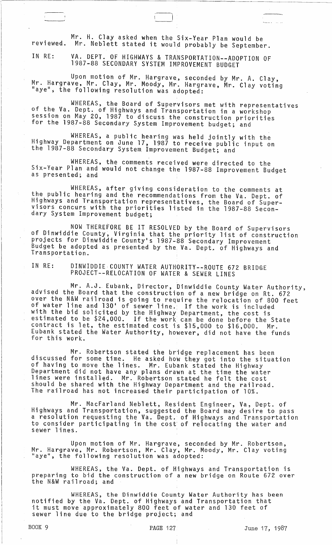Mr. H. Clay asked when the Six-Year Plan would be reviewed. Mr. Neblett stated it would probably be September.

 $\Box$ 

IN RE: VA. DEPT. OF HIGHWAYS & TRANSPORTATION--ADOPTION OF 1987-88 SECONDARY SYSTEM IMPROVEMENT BUDGET

Upon motion of Mr. Hargrave, seconded by Mr. A. Clay, Mr. Hargrave, Mr. Clay, Mr. Moody, Mr. Hargrave, Mr. Clay voting<br>"aye", the following resolution was adopted: "aye", the following resolution was adopted:

WHEREAS, the Board of Supervisors met with representatives<br>of the Va. Dept. of Highways and Transportation in a workshop session on May 20, 1987 to discuss the construction priorities for the 1987-88 Secondary System Improvement budget; and

WHEREAS, a public hearing was held jOintly with the Highway Department on June 17, 1987 to receive public input on the 1987-88 Secondary System Improvement Budget; and

WHEREAS, the comments received were directed to the Six-Year Plan and would not change the 1987-88 Improvement Budget as presented; and

WHEREAS, after giving consideration to the comments at the public hearing and the recommendations from the Va. Dept. of Highways and Transportation representatives, the Board of Supervisors concurs with the priorities listed in the 1987-88 Secondary System Improvement budget;

NOW THEREFORE BE IT RESOLVED by the Board of Supervisors<br>of Dinwiddie County, Virginia that the priority list of construction projects for Dinwiddie County's 1987-88 Secondary Improvement Budget be adopted as presented by the. Va. Dept. of Highways and Transportation.

IN RE: DINWIDDIE COUNTY WATER AUTHORITY--ROUTE 672 BRIDGE PROJECT--RELOCATION OF WATER & SEWER LINES

Mr. A.J. Eubank, Director, Dinwiddie County Water Authority, advised the Board that the construction of a new bridge on Rt. 672 over the N&W railroad is going to require the relocation of 800 feet of water line and 130' of sewer line. If the work is included with the bid solicited by the Highway Department, the cost is estimated to be \$24,000. If the work can be done before the State contract is let, the estimated cost is \$15,000 to \$16,000. Mr. Eubank stated the Water Authority, however; did not have the funds for this work.

Mr. Robertson stated the bridge replacement has been discussed for some time. He asked how they got into the situation of having to move the 1ihes. Mr. Eubank stated the Highway Department did not have any plans drawn at the time the water lines were installed. Mr. Robertson stated he felt the cost should be shared with the Highway Department and the railroad. The railroad has not increased their participation of 10%.

Mr. MacFarland Neblett, Resident Engineer, Va, Dept. of Highways and Transportation, suggested the Board may desire to pass a resolution requesting the Va. Dept. of Highways and Transportation to consider participating in the cost' of relocating the water and sewer 1 ines.

Upon motion of Mr. Hargrave, seconded by Mr. Robertson, Mr. Hargrave, Mr. Robertson, Mr. Clay, Mr. Moody, Mr. Clay voting<br>"aye", the following resolution was adopted:

WHEREAS, the Va. Dept. of Highways and Transportation is preparing to bid the construction of a new bridge on Route 672 over the N&W railroad; and

WHEREAS, the Dinwiddie County Water Authority has been notified by the Va. Dept. of Highways and Transportation that it must move approximately 800 feet of water and 130 feet of sewer line due to the bridge project; and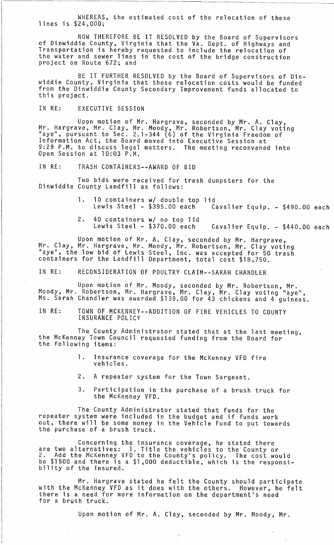WHEREAS, the estimated cost of the relocation of these lines is \$24,000;

NOW THEREFORE BE IT RESOLVED by the Board of Supervisors of Dinwiddie County, Virginia that the Va. Dept. of Highways and Transportation is hereby requested to include the relocation of the water and sewer lines in the cost of the bridge construction project on Route 672; and

BE IT FURTHER RESOLVED by the Board of Supervisors of Dinwiddie County, Virginia that these relocation costs would be funded from the Dinwiddie County Secondary Improvement funds allocated to this project.

IN RE: EXECUTIVE SESSION

Upon motion of Mr. Hargrave, seconded by Mr. A. Clay,<br>Mr. Hargrave, Mr. Clay, Mr. Moody, Mr. Robertson, Mr. Clay voting<br>"aye", pursuant to Sec. 2.1-344 (6) of the Virginia Freedom of Information Act, the Board moved into Executive Session at 9:29 P.M. to discuss legal matters. The meeting reconvened into Open Session at 10:03 P.M.

IN RE: TRASH CONTAINERS--AWARD OF BID

Two bids were received for trash dumpsters for the Dinwiddie County Landfill as follows:

> 1. 10 containers w/ double top lid Lewis Steel - \$395.00 each Cavalier Equip. - \$490.00 each

> 2 . 40 containers *wi* no top lid Lewis Steel -  $$370.00$  each Cavalier Equip.  $-$  \$440.00 each

Upon motion of Mr. A. Clay, seconded by Mr. Hargrave, Mr. Clay, Mr. Hargrave, Mr. Moody, Mr. Robertson, Mr. Clay voting "aye", the low bid of Lewis Steel, Inc. was accepted for 50 trash containers for the Landfill Department, total cost \$18,750.

IN RE: RECONSIDERATION OF POULTRY CLAIM--SARAH CHANDLER

Upon motion of Mr. Moody, seconded by Mr. Robertson, Mr. Moody, Mr. Robertson, Mr. Hargrave, Mr. Clay, Mr. Clay voting "aye", Ms. Sarah Chandler was awarded \$139~00 for 43 chickens and 4 guineas.

IN RE: TOWN OF MCKENNEY--ADDITION OF FIRE VEHICLES TO COUNTY INSURANCE POLICY

The County Administrator stated that at the last meeting, the McKenney Town Council requested funding from the Board for the following items:

- 1. Insurance coverage for the McKenney VFD fire vehicles.
- 2. A repeater system for the Town Sargeant.
- 3. Participation in the purchase of a brush truck for the McKenney VFD.

The County Administrator stated that funds for the repeater system were included in the budget and if funds work out, there will be some money in the Vehicle Fund to put towards the purchase of a brush truck.

Concerning the insurance coverage, he stated there are two alternatives: 1. Title the vehicles to the County or 2. Add the McKenney VFD.to the County's policy. The cost would be \$1500 and there is a \$1,000 deductible, which is the responsi- bility of the insured.

Mr. Hargrave stated he felt the County should participate with the McKenney VFD as it does with the others. However, he felt there is a need for more information on the department's need for a brush truck.

Upon motion of Mr. A. Clay, seconded by Mr. Moody, Mr.

 $\mathcal{F}$  ,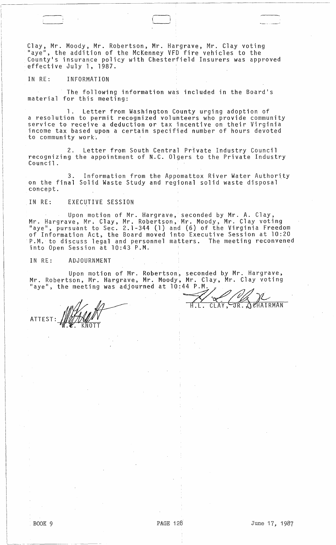Clay, Mr. Moody, Mr. Robertson, Mr. Hargrave, Mr. Clay voting<br>"ave", the addition of the McKenney VFD fire vehicles to the , the addition of the McKenney VFD fire vehicles to the County1s insurance policy with Chesterfield Insurers was approved effective July 1, 1987.

## IN RE: INFORMATION

The following information was included in the Board's material for this meeting:

1. Letter from Washington County urging adoption of a resolution to permit recognized volunteers who provide community service to receive a deduction or tax incentive on their Virginia income tax based upon a certain specified number of hours devoted to community work.

2. Letter from South Central Private Industry Council recognizing the appointment of N.C. Olgers to the Private Industry<br>Council.

3. Information from the Appomattox River Water Authority on the final Solid Waste Study and regional solid waste disposal concept.

## IN RE: EXECUTIVE SESSION

Upon motion of Mr. Hargrave, seconded by Mr. A. Clay, Mr. Hargrave, Mr. Clay, Mr. Robertson, Mr. Moody, Mr. Clay voting n. Halgrave, H.: Clay, H.: Robertson, H.: Hoody, H.: Clay vocing<br>"aye", pursuant to Sec. 2.1-344 (1) and (6) of the Virginia Freedom of Information Act, the Board moved into Executive Session at 10:20 P.M. to discuss legal and personnel matters. The meeting reconvened into Open Session at 10:43 P.M.

IN RE: ADJOURNMENT

Upon motion of Mr. Robertson, seconded by Mr. Hargrave, Mr. Robertson, Mr. Hargrave, Mr. Moody, Mr. Clay, Mr. Clay voting "aye", the meeting was adjourned at  $10:44$  P.M.  $\rho$ Upon motion of Mr. Robertson, set<br>
rtson, Mr. Hargrave, Mr. Moody, Mr<br>
he meeting was adjourned at 10:44

ATTEST

H.L. , CLAY, JR., JEHAIRMAN